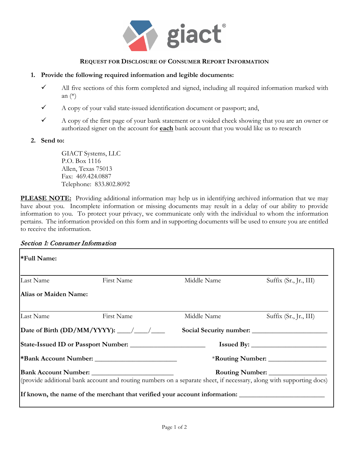

### **REQUEST FOR DISCLOSURE OF CONSUMER REPORT INFORMATION**

#### **1. Provide the following required information and legible documents:**

- $\checkmark$  All five sections of this form completed and signed, including all required information marked with an (\*)
- $\checkmark$  A copy of your valid state-issued identification document or passport; and,
- $\checkmark$  A copy of the first page of your bank statement or a voided check showing that you are an owner or authorized signer on the account for **each** bank account that you would like us to research

#### **2. Send to:**

GIACT Systems, LLC P.O. Box 1116 Allen, Texas 75013 Fax: 469.424.0887 Telephone: 833.802.8092

**PLEASE NOTE:** Providing additional information may help us in identifying archived information that we may have about you. Incomplete information or missing documents may result in a delay of our ability to provide information to you. To protect your privacy, we communicate only with the individual to whom the information pertains. The information provided on this form and in supporting documents will be used to ensure you are entitled to receive the information.

### Section 1: Consumer Information

| <b>*Full Name:</b>                  |                                                  |                                                                            |                                                                                                                     |  |
|-------------------------------------|--------------------------------------------------|----------------------------------------------------------------------------|---------------------------------------------------------------------------------------------------------------------|--|
| Last Name                           | First Name                                       | Middle Name                                                                | Suffix (Sr., Jr., III)                                                                                              |  |
| Alias or Maiden Name:               |                                                  |                                                                            |                                                                                                                     |  |
| Last Name                           | First Name                                       | Middle Name                                                                | Suffix (Sr., Jr., III)                                                                                              |  |
|                                     | Date of Birth (DD/MM/YYYY): $\frac{\sqrt{2}}{2}$ |                                                                            |                                                                                                                     |  |
| State-Issued ID or Passport Number: |                                                  |                                                                            |                                                                                                                     |  |
| <b>*Bank Account Number:</b>        |                                                  |                                                                            |                                                                                                                     |  |
|                                     |                                                  |                                                                            | (provide additional bank account and routing numbers on a separate sheet, if necessary, along with supporting docs) |  |
|                                     |                                                  | If known, the name of the merchant that verified your account information: |                                                                                                                     |  |